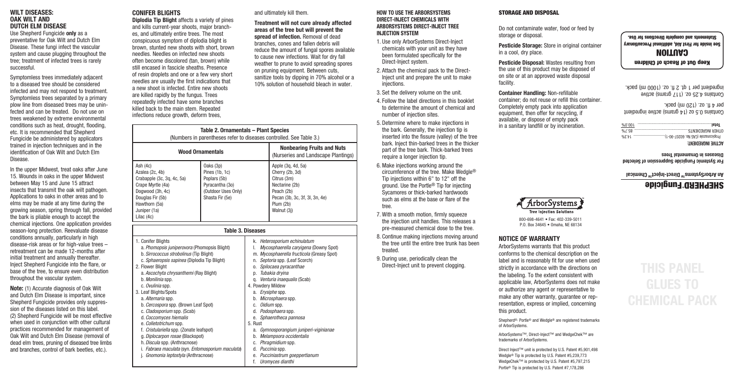### **WILT DISEASES: OAK WILT AND DUTCH ELM DISEASE**

Use Shepherd Fungicide **only** as a preventative for Oak Wilt and Dutch Elm Disease. These fungi infect the vascular system and cause plugging throughout the tree; treatment of infected trees is rarely successful.

Symptomless trees immediately adjacent to a diseased tree should be considered infected and may not respond to treatment. Symptomless trees separated by a primary plow line from diseased trees may be uninfected and can be treated. Do not use on trees weakened by extreme environmental conditions such as heat, drought, flooding, etc. It is recommended that Shepherd Fungicide be administered by applicators trained in injection techniques and in the identification of Oak Wilt and Dutch Elm Disease.

In the upper Midwest, treat oaks after June 15. Wounds in oaks in the upper Midwest between May 15 and June 15 attract insects that transmit the oak wilt pathogen. Applications to oaks in other areas and to elms may be made at any time during the growing season, spring through fall, provided the bark is pliable enough to accept the chemical injections. One application provides season-long protection. Reevaluate disease conditions annually, particularly in high disease-risk areas or for high-value trees – retreatment can be made 12-months after initial treatment and annually thereafter. Inject Shepherd Fungicide into the flare, or base of the tree, to ensure even distribution throughout the vascular system.

**Note:** (1) Accurate diagnosis of Oak Wilt and Dutch Elm Disease is important, since Shepherd Fungicide provides only suppression of the diseases listed on this label. (2) Shepherd Fungicide will be most effective when used in conjunction with other cultural practices recommended for management of Oak Wilt and Dutch Elm Disease (removal of dead elm trees, pruning of diseased tree limbs and branches, control of bark beetles, etc.).

### **CONIFER BLIGHTS**

**Diplodia Tip Blight** affects a variety of pines and kills current-year shoots, major branches, and ultimately entire trees. The most conspicuous symptom of diplodia blight is brown, stunted new shoots with short, brown needles. Needles on infected new shoots often become discolored (tan, brown) while still encased in fascicle sheaths. Presence of resin droplets and one or a few very short needles are usually the first indications that a new shoot is infected. Entire new shoots are killed rapidly by the fungus. Trees repeatedly infected have some branches killed back to the main stem. Repeated infections reduce growth, deform trees,

|  | and ultimately kill them. |  |  |
|--|---------------------------|--|--|
|--|---------------------------|--|--|

**Treatment will not cure already affected areas of the tree but will prevent the spread of infection.** Removal of dead branches, cones and fallen debris will reduce the amount of fungal spores available to cause new infections. Wait for dry fall weather to prune to avoid spreading spores on pruning equipment. Between cuts, sanitize tools by dipping in 70% alcohol or a 10% solution of household bleach in water.

|                                                                                                                                                                                                                                                                                                                                                                                                                                                | Table 2. Ornamentals - Plant Species                                                                     |                                                                                                                                                                                                                                                                                                                                                                                               | (Numbers in parentheses refer to diseases controlled. See Table 3.)                                                                                                   |  |
|------------------------------------------------------------------------------------------------------------------------------------------------------------------------------------------------------------------------------------------------------------------------------------------------------------------------------------------------------------------------------------------------------------------------------------------------|----------------------------------------------------------------------------------------------------------|-----------------------------------------------------------------------------------------------------------------------------------------------------------------------------------------------------------------------------------------------------------------------------------------------------------------------------------------------------------------------------------------------|-----------------------------------------------------------------------------------------------------------------------------------------------------------------------|--|
| <b>Wood Ornamentals</b>                                                                                                                                                                                                                                                                                                                                                                                                                        |                                                                                                          |                                                                                                                                                                                                                                                                                                                                                                                               | <b>Nonbearing Fruits and Nuts</b><br>(Nurseries and Landscape Plantings)                                                                                              |  |
| Ash (4c)<br>Azalea (2c, 4b)<br>Crabapple (3c, 3q, 4c, 5a)<br>Crape Myrtle (4a)<br>Dogwood (3h, 4c)<br>Douglas Fir (5b)<br>Hawthorn (5a)<br>Juniper (1a)<br>Lilac (4c)                                                                                                                                                                                                                                                                          | Oaks (3p)<br>Pines (1b, 1c)<br>Poplars (5b)<br>Pyracantha (30)<br>(Outdoor Uses Only)<br>Shasta Fir (5e) |                                                                                                                                                                                                                                                                                                                                                                                               | Apple (3q, 4d, 5a)<br>Cherry (2b, 3d)<br>Citrus (3m)<br>Nectarine (2b)<br>Peach (2b)<br>Pecan (3b, 3c, 3f, 3l, 3n, 4e)<br>Plum (2b)<br>Walnut (3j)                    |  |
|                                                                                                                                                                                                                                                                                                                                                                                                                                                |                                                                                                          | <b>Table 3. Diseases</b>                                                                                                                                                                                                                                                                                                                                                                      |                                                                                                                                                                       |  |
| 1. Conifer Blights<br>a. Phomopsis juniperovora (Phomopsis Blight)<br>b. Sirrococcus strobolinus (Tip Blight)<br>c. Sphaeropsis sapinea (Diplodia Tip Blight)<br>2. Flower Blight<br>a. Ascochyta chrysanthemi (Ray Blight)<br>b. Monilinia spp.<br>c. Ovulinia spp.<br>3. Leaf Blights/Spots<br>a. Alternaria spp.<br>b. Cercospora spp. (Brown Leaf Spot)<br>c. Cladosporium spp. (Scab)<br>d. Coccomyces hiemalis<br>e. Colletotrichum spp. |                                                                                                          | k. Heterosporium echinulatum<br>Mycosphaerella caryigena (Downy Spot)<br>I.<br>m. Mycosphaerella fructicola (Greasy Spot)<br>n. Septoria spp. (Leaf Scorch)<br>o. Spilocaea pyracanthae<br>p. Tubakia dryina<br>q. Venturia inaequalis (Scab)<br>4. Powdery Mildew<br>a. Erysiphe spp.<br>b. Microsphaera spp.<br>c. Oidium spp.<br>d. Podosphaera spp.<br>e. Sphaerotheca pannosa<br>5. Rust |                                                                                                                                                                       |  |
| f. Cristulariella spp. (Zonate leafspot)<br>g. Diplocarpon rosae (Blackspot)<br>h. Discula spp. (Anthracnose)<br>i. Fabraea maculata (syn. Entomosporium maculata)<br>j. Gnomonia leptostyla (Anthracnose)                                                                                                                                                                                                                                     |                                                                                                          | f.                                                                                                                                                                                                                                                                                                                                                                                            | a. Gymnosporangium juniperi-viginianae<br>b. Melampsora occidentalis<br>c. Phragmidium spp.<br>d. Puccinia spp.<br>e. Pucciniastrum goeppertianum<br>Uromvces dianthi |  |

### **HOW TO USE THE ARBORSYSTEMS DIRECT-INJECT CHEMICALS WITH ARBORSYSTEMS DIRECT-INJECT TREE INJECTION SYSTEM**

- 1. Use only ArborSystems Direct-Inject chemicals with your unit as they have been formulated specifically for the Direct-Inject system.
- 2. Attach the chemical pack to the Direct-Inject unit and prepare the unit to make injections.
- 3. Set the delivery volume on the unit.
- 4. Follow the label directions in this booklet to determine the amount of chemical and number of injection sites.
- 5. Determine where to make injections in the bark. Generally, the injection tip is inserted into the fissure (valley) of the tree bark. Inject thin-barked trees in the thicker part of the tree bark. Thick-barked trees require a longer injection tip.
- 6. Make injections working around the circumference of the tree. Make Wedgle® Tip injections within 6" to 12" off the ground. Use the Portle® Tip for injecting Sycamores or thick-barked hardwoods such as elms at the base or flare of the tree.
- 7. With a smooth motion, firmly squeeze the injection unit handles. This releases a pre-measured chemical dose to the tree.
- 8. Continue making injections moving around the tree until the entire tree trunk has been treated.
- 9. During use, periodically clean the Direct-Inject unit to prevent clogging.

### STORAGE AND DISPOSAL

Do not contaminate water, food or feed by storage or disposal.

**Pesticide Storage:** Store in original container in a cool, dry place.

**Pesticide Disposal:** Wastes resulting from the use of this product may be disposed of on site or at an approved waste disposal facility.

**Container Handling:** Non-refillable container; do not reuse or refill this container. Completely empty pack into application equipment, then offer for recycling, if available, or dispose of empty pack in a sanitary landfill or by incineration.

14.3% ................................ No. 60207-90-1) Propiconazole (CAS OTHER INGREDIENTS. 100.0% .................................................................... **Total**

Coursup 0.5 oz (14 grams) active ingredient

Contains 4.25 oz. (11/ Grams) active ingredient per 1 qt. 2 fl. oz. (1000 ml) pack.

Keep Out of Reach of Children CAUTION See inside for First Aid, additional Precautionary Statements and complete Directions for Use.

**ACTIVE INGREDIENT:**

per 4 fl. oz. (120 ml) pack.

#### **For Systemic Fungicide Suppression of Selected Diseases in Ornamental Trees**

**An ArborSystemsTM Direct-InjectTM Chemical**

# SHEPHERD® Fungicide



800-698-4641 • Fax: 402-339-5011 P.O. Box 34645 • Omaha, NE 68134

### **NOTICE OF WARRANTY**

ArborSystems warrants that this product conforms to the chemical description on the label and is reasonably fit for use when used strictly in accordance with the directions on the labeling. To the extent consistent with applicable law, ArborSystems does not make or authorize any agent or representative to make any other warranty, guarantee or representation, express or implied, concerning this product.

Shepherd®, Portle® and Wedgle® are registered trademarks of ArborSystems.

ArborSystems™, Direct-Inject™ and WedgeChek™ are trademarks of ArborSystems.

Direct Inject™ unit is protected by U.S. Patent #5,901,498 Wedgle® Tip is protected by U.S. Patent #5,239,773 WedgeChek™ is protected by U.S. Patent #5,797,215 Portle® Tip is protected by U.S. Patent #7,178,286

# **THIS PANEL GLUES TO CHEMICAL PACK**